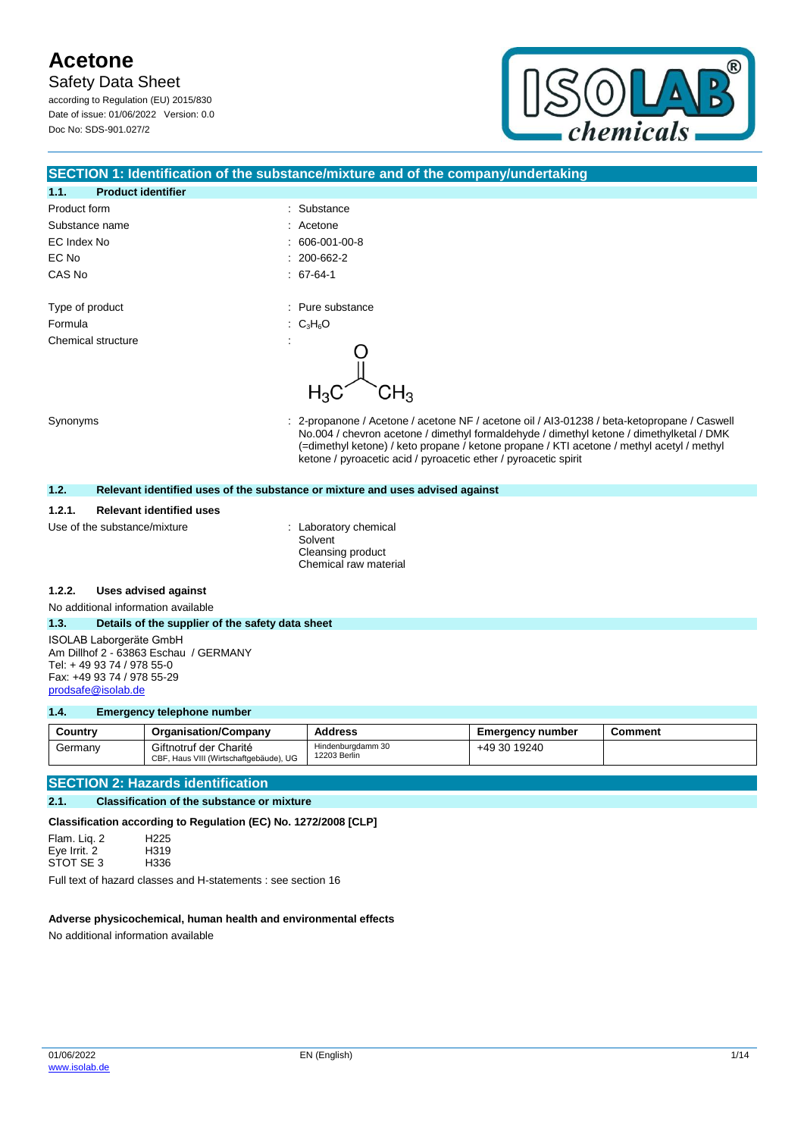**Safety Data Sheet** 

according to Regulation (EU) 2015/830 Date of issue: 01/06/2022 Version: 0.0 Doc No: SDS-901.027/2

**1.1. Product identifier**



### **SECTION 1: Identification of the substance/mixture and of the company/undertaking**

| . .             | Product Identifier |    |                   |
|-----------------|--------------------|----|-------------------|
| Product form    |                    | ÷. | Substance         |
|                 | Substance name     | ÷. | Acetone           |
| EC Index No     |                    | t. | 606-001-00-8      |
| EC No           |                    |    | $: 200 - 662 - 2$ |
| CAS No          |                    |    | $. 67-64-1$       |
|                 |                    |    |                   |
| Type of product |                    |    | : Pure substance  |
| Formula         |                    |    | : $C_3H_6O$       |
|                 | Chemical structure | ٠  |                   |
|                 |                    |    |                   |

Synonyms **Synonyms** : 2-propanone / Acetone / acetone NF / acetone oil / AI3-01238 / beta-ketopropane / Caswell No.004 / chevron acetone / dimethyl formaldehyde / dimethyl ketone / dimethylketal / DMK (=dimethyl ketone) / keto propane / ketone propane / KTI acetone / methyl acetyl / methyl ketone / pyroacetic acid / pyroacetic ether / pyroacetic spirit

#### **1.2. Relevant identified uses of the substance or mixture and uses advised against**

#### **1.2.1. Relevant identified uses**

Use of the substance/mixture : Laboratory chemical

Solvent Cleansing product Chemical raw material

#### **1.2.2. Uses advised against**

No additional information available

#### **1.3. Details of the supplier of the safety data sheet**

ISOLAB Laborgeräte GmbH Am Dillhof 2 - 63863 Eschau / GERMANY Tel: + 49 93 74 / 978 55-0 Fax: +49 93 74 / 978 55-29 [prodsafe@isolab.de](mailto:prodsafe@isolab.de)

#### **1.4. Emergency telephone number**

| Country | <b>Organisation/Company</b>                                      | <b>Address</b>                    | <b>Emergency number</b> | Comment |
|---------|------------------------------------------------------------------|-----------------------------------|-------------------------|---------|
| Germany | Giftnotruf der Charité<br>CBF, Haus VIII (Wirtschaftgebäude), UG | Hindenburgdamm 30<br>12203 Berlin | +49 30 19240            |         |

#### **SECTION 2: Hazards identification**

#### **2.1. Classification of the substance or mixture**

**Classification according to Regulation (EC) No. 1272/2008 [CLP]**

Flam. Liq. 2 H225 Eye Irrit. 2 H319<br>STOT SE 3 H336 STOT SE 3

Full text of hazard classes and H-statements : see section 16

#### **Adverse physicochemical, human health and environmental effects**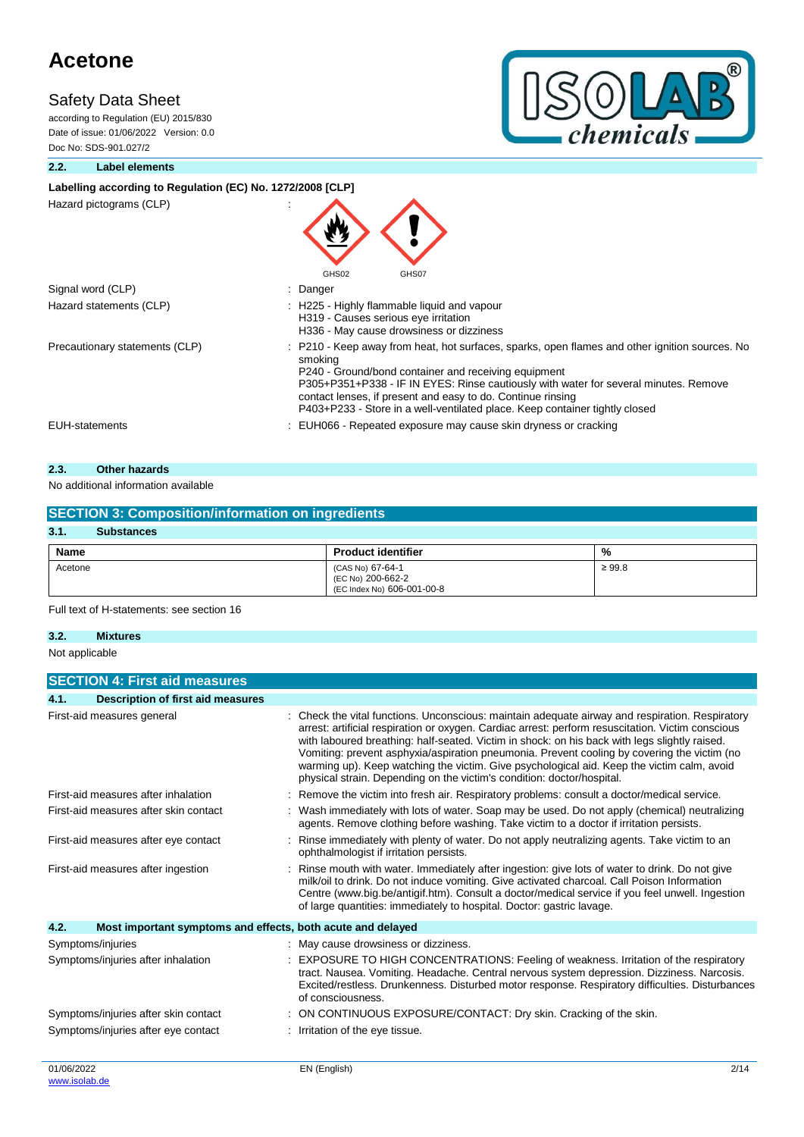according to Regulation (EU) 2015/830 Date of issue: 01/06/2022 Version: 0.0 Doc No: SDS-901.027/2



#### **2.2. Label elements**

## Labelling according to Regulation (EC) No. 1272/2008 [CLP]

Hazard pictograms (CLP) :

| Hazard pictograms (CLP)        | GHS02<br>GHS07                                                                                                                                                                                                                                                                                                                                                                                          |
|--------------------------------|---------------------------------------------------------------------------------------------------------------------------------------------------------------------------------------------------------------------------------------------------------------------------------------------------------------------------------------------------------------------------------------------------------|
| Signal word (CLP)              | : Danger                                                                                                                                                                                                                                                                                                                                                                                                |
| Hazard statements (CLP)        | : H225 - Highly flammable liquid and vapour<br>H319 - Causes serious eye irritation<br>H336 - May cause drowsiness or dizziness                                                                                                                                                                                                                                                                         |
| Precautionary statements (CLP) | : P210 - Keep away from heat, hot surfaces, sparks, open flames and other ignition sources. No<br>smoking<br>P240 - Ground/bond container and receiving equipment<br>P305+P351+P338 - IF IN EYES: Rinse cautiously with water for several minutes. Remove<br>contact lenses, if present and easy to do. Continue rinsing<br>P403+P233 - Store in a well-ventilated place. Keep container tightly closed |
| <b>EUH-statements</b>          | : EUH066 - Repeated exposure may cause skin dryness or cracking                                                                                                                                                                                                                                                                                                                                         |

## **2.3. Other hazards**

### No additional information available

| <b>SECTION 3: Composition/information on ingredients</b> |                                                                     |             |  |  |
|----------------------------------------------------------|---------------------------------------------------------------------|-------------|--|--|
| 3.1.<br><b>Substances</b>                                |                                                                     |             |  |  |
| Name                                                     | <b>Product identifier</b>                                           | %           |  |  |
| Acetone                                                  | (CAS No) 67-64-1<br>(EC No) 200-662-2<br>(EC Index No) 606-001-00-8 | $\geq 99.8$ |  |  |

Full text of H-statements: see section 16

### **3.2. Mixtures**

Not applicable

|                                      | <b>SECTION 4: First aid measures</b>                        |                                                                                                                                                                                                                                                                                                                                                                                                                                                                                                                                                                            |  |
|--------------------------------------|-------------------------------------------------------------|----------------------------------------------------------------------------------------------------------------------------------------------------------------------------------------------------------------------------------------------------------------------------------------------------------------------------------------------------------------------------------------------------------------------------------------------------------------------------------------------------------------------------------------------------------------------------|--|
| 4.1.                                 | <b>Description of first aid measures</b>                    |                                                                                                                                                                                                                                                                                                                                                                                                                                                                                                                                                                            |  |
|                                      | First-aid measures general                                  | Check the vital functions. Unconscious: maintain adequate airway and respiration. Respiratory<br>arrest: artificial respiration or oxygen. Cardiac arrest: perform resuscitation. Victim conscious<br>with laboured breathing: half-seated. Victim in shock: on his back with legs slightly raised.<br>Vomiting: prevent asphyxia/aspiration pneumonia. Prevent cooling by covering the victim (no<br>warming up). Keep watching the victim. Give psychological aid. Keep the victim calm, avoid<br>physical strain. Depending on the victim's condition: doctor/hospital. |  |
|                                      | First-aid measures after inhalation                         | Remove the victim into fresh air. Respiratory problems: consult a doctor/medical service.                                                                                                                                                                                                                                                                                                                                                                                                                                                                                  |  |
|                                      | First-aid measures after skin contact                       | Wash immediately with lots of water. Soap may be used. Do not apply (chemical) neutralizing<br>agents. Remove clothing before washing. Take victim to a doctor if irritation persists.                                                                                                                                                                                                                                                                                                                                                                                     |  |
| First-aid measures after eye contact |                                                             | Rinse immediately with plenty of water. Do not apply neutralizing agents. Take victim to an<br>ophthalmologist if irritation persists.                                                                                                                                                                                                                                                                                                                                                                                                                                     |  |
|                                      | First-aid measures after ingestion                          | Rinse mouth with water. Immediately after ingestion: give lots of water to drink. Do not give<br>milk/oil to drink. Do not induce vomiting. Give activated charcoal. Call Poison Information<br>Centre (www.big.be/antigif.htm). Consult a doctor/medical service if you feel unwell. Ingestion<br>of large quantities: immediately to hospital. Doctor: gastric lavage.                                                                                                                                                                                                   |  |
| 4.2.                                 | Most important symptoms and effects, both acute and delayed |                                                                                                                                                                                                                                                                                                                                                                                                                                                                                                                                                                            |  |
|                                      | Symptoms/injuries                                           | : May cause drowsiness or dizziness.                                                                                                                                                                                                                                                                                                                                                                                                                                                                                                                                       |  |
|                                      | Symptoms/injuries after inhalation                          | <b>EXPOSURE TO HIGH CONCENTRATIONS: Feeling of weakness. Irritation of the respiratory</b><br>tract. Nausea. Vomiting. Headache. Central nervous system depression. Dizziness. Narcosis.<br>Excited/restless. Drunkenness. Disturbed motor response. Respiratory difficulties. Disturbances<br>of consciousness.                                                                                                                                                                                                                                                           |  |
|                                      | Symptoms/injuries after skin contact                        | ON CONTINUOUS EXPOSURE/CONTACT: Dry skin. Cracking of the skin.                                                                                                                                                                                                                                                                                                                                                                                                                                                                                                            |  |
|                                      | Symptoms/injuries after eye contact                         | : Irritation of the eye tissue.                                                                                                                                                                                                                                                                                                                                                                                                                                                                                                                                            |  |
| 01/06/2022                           |                                                             | EN (English)<br>2/14                                                                                                                                                                                                                                                                                                                                                                                                                                                                                                                                                       |  |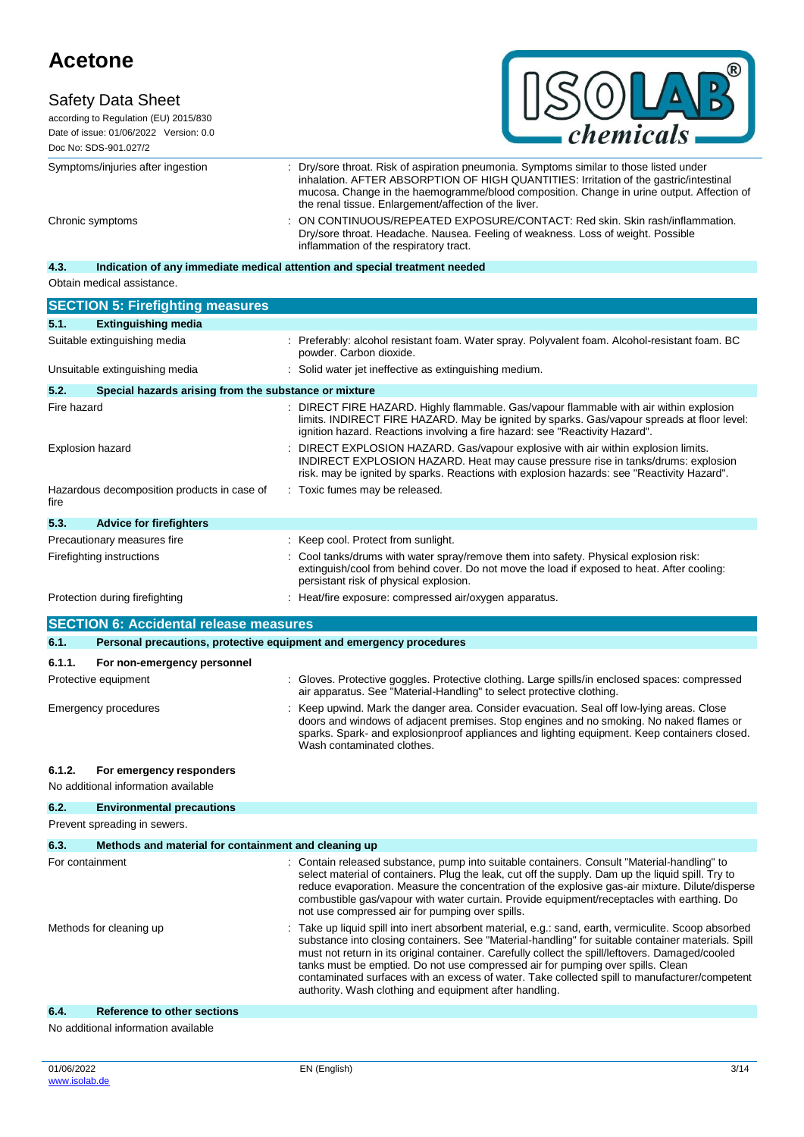# **Safety Data Sheet**



according to Regulation (EU) 2015/830 Date of issue: 01/06/2022 Version: 0.0 Doc No: SDS-901.027/2

Symptoms/injuries after ingestion : Dry/sore throat. Risk of aspiration pneumonia. Symptoms similar to those listed under inhalation. AFTER ABSORPTION OF HIGH QUANTITIES: Irritation of the gastric/intestinal mucosa. Change in the haemogramme/blood composition. Change in urine output. Affection of the renal tissue. Enlargement/affection of the liver. Chronic symptoms : ON CONTINUOUS/REPEATED EXPOSURE/CONTACT: Red skin. Skin rash/inflammation. Dry/sore throat. Headache. Nausea. Feeling of weakness. Loss of weight. Possible inflammation of the respiratory tract.

## **4.3. Indication of any immediate medical attention and special treatment needed**

Obtain medical assistance.

|                 | <b>SECTION 5: Firefighting measures</b>                             |                                                                                                                                                                                                                                                                                                                                                                                                                                                                                                                                                            |
|-----------------|---------------------------------------------------------------------|------------------------------------------------------------------------------------------------------------------------------------------------------------------------------------------------------------------------------------------------------------------------------------------------------------------------------------------------------------------------------------------------------------------------------------------------------------------------------------------------------------------------------------------------------------|
| 5.1.            | <b>Extinguishing media</b>                                          |                                                                                                                                                                                                                                                                                                                                                                                                                                                                                                                                                            |
|                 | Suitable extinguishing media                                        | Preferably: alcohol resistant foam. Water spray. Polyvalent foam. Alcohol-resistant foam. BC<br>powder. Carbon dioxide.                                                                                                                                                                                                                                                                                                                                                                                                                                    |
|                 | Unsuitable extinguishing media                                      | Solid water jet ineffective as extinguishing medium.                                                                                                                                                                                                                                                                                                                                                                                                                                                                                                       |
| 5.2.            | Special hazards arising from the substance or mixture               |                                                                                                                                                                                                                                                                                                                                                                                                                                                                                                                                                            |
| Fire hazard     |                                                                     | : DIRECT FIRE HAZARD. Highly flammable. Gas/vapour flammable with air within explosion<br>limits. INDIRECT FIRE HAZARD. May be ignited by sparks. Gas/vapour spreads at floor level:<br>ignition hazard. Reactions involving a fire hazard: see "Reactivity Hazard".                                                                                                                                                                                                                                                                                       |
|                 | <b>Explosion hazard</b>                                             | DIRECT EXPLOSION HAZARD. Gas/vapour explosive with air within explosion limits.<br>INDIRECT EXPLOSION HAZARD. Heat may cause pressure rise in tanks/drums: explosion<br>risk. may be ignited by sparks. Reactions with explosion hazards: see "Reactivity Hazard".                                                                                                                                                                                                                                                                                         |
| fire            | Hazardous decomposition products in case of                         | : Toxic fumes may be released.                                                                                                                                                                                                                                                                                                                                                                                                                                                                                                                             |
| 5.3.            | <b>Advice for firefighters</b>                                      |                                                                                                                                                                                                                                                                                                                                                                                                                                                                                                                                                            |
|                 | Precautionary measures fire                                         | : Keep cool. Protect from sunlight.                                                                                                                                                                                                                                                                                                                                                                                                                                                                                                                        |
|                 | Firefighting instructions                                           | Cool tanks/drums with water spray/remove them into safety. Physical explosion risk:<br>extinguish/cool from behind cover. Do not move the load if exposed to heat. After cooling:<br>persistant risk of physical explosion.                                                                                                                                                                                                                                                                                                                                |
|                 | Protection during firefighting                                      | : Heat/fire exposure: compressed air/oxygen apparatus.                                                                                                                                                                                                                                                                                                                                                                                                                                                                                                     |
|                 | <b>SECTION 6: Accidental release measures</b>                       |                                                                                                                                                                                                                                                                                                                                                                                                                                                                                                                                                            |
| 6.1.            | Personal precautions, protective equipment and emergency procedures |                                                                                                                                                                                                                                                                                                                                                                                                                                                                                                                                                            |
|                 |                                                                     |                                                                                                                                                                                                                                                                                                                                                                                                                                                                                                                                                            |
| 6.1.1.          | For non-emergency personnel<br>Protective equipment                 | : Gloves. Protective goggles. Protective clothing. Large spills/in enclosed spaces: compressed                                                                                                                                                                                                                                                                                                                                                                                                                                                             |
|                 |                                                                     | air apparatus. See "Material-Handling" to select protective clothing.                                                                                                                                                                                                                                                                                                                                                                                                                                                                                      |
|                 | <b>Emergency procedures</b>                                         | Keep upwind. Mark the danger area. Consider evacuation. Seal off low-lying areas. Close<br>doors and windows of adjacent premises. Stop engines and no smoking. No naked flames or<br>sparks. Spark- and explosionproof appliances and lighting equipment. Keep containers closed.<br>Wash contaminated clothes.                                                                                                                                                                                                                                           |
| 6.1.2.          | For emergency responders                                            |                                                                                                                                                                                                                                                                                                                                                                                                                                                                                                                                                            |
|                 | No additional information available                                 |                                                                                                                                                                                                                                                                                                                                                                                                                                                                                                                                                            |
| 6.2.            | <b>Environmental precautions</b>                                    |                                                                                                                                                                                                                                                                                                                                                                                                                                                                                                                                                            |
|                 | Prevent spreading in sewers.                                        |                                                                                                                                                                                                                                                                                                                                                                                                                                                                                                                                                            |
| 6.3.            | Methods and material for containment and cleaning up                |                                                                                                                                                                                                                                                                                                                                                                                                                                                                                                                                                            |
| For containment |                                                                     | Contain released substance, pump into suitable containers. Consult "Material-handling" to<br>select material of containers. Plug the leak, cut off the supply. Dam up the liquid spill. Try to<br>reduce evaporation. Measure the concentration of the explosive gas-air mixture. Dilute/disperse<br>combustible gas/vapour with water curtain. Provide equipment/receptacles with earthing. Do<br>not use compressed air for pumping over spills.                                                                                                         |
|                 | Methods for cleaning up                                             | Take up liquid spill into inert absorbent material, e.g.: sand, earth, vermiculite. Scoop absorbed<br>substance into closing containers. See "Material-handling" for suitable container materials. Spill<br>must not return in its original container. Carefully collect the spill/leftovers. Damaged/cooled<br>tanks must be emptied. Do not use compressed air for pumping over spills. Clean<br>contaminated surfaces with an excess of water. Take collected spill to manufacturer/competent<br>authority. Wash clothing and equipment after handling. |

#### **6.4. Reference to other sections**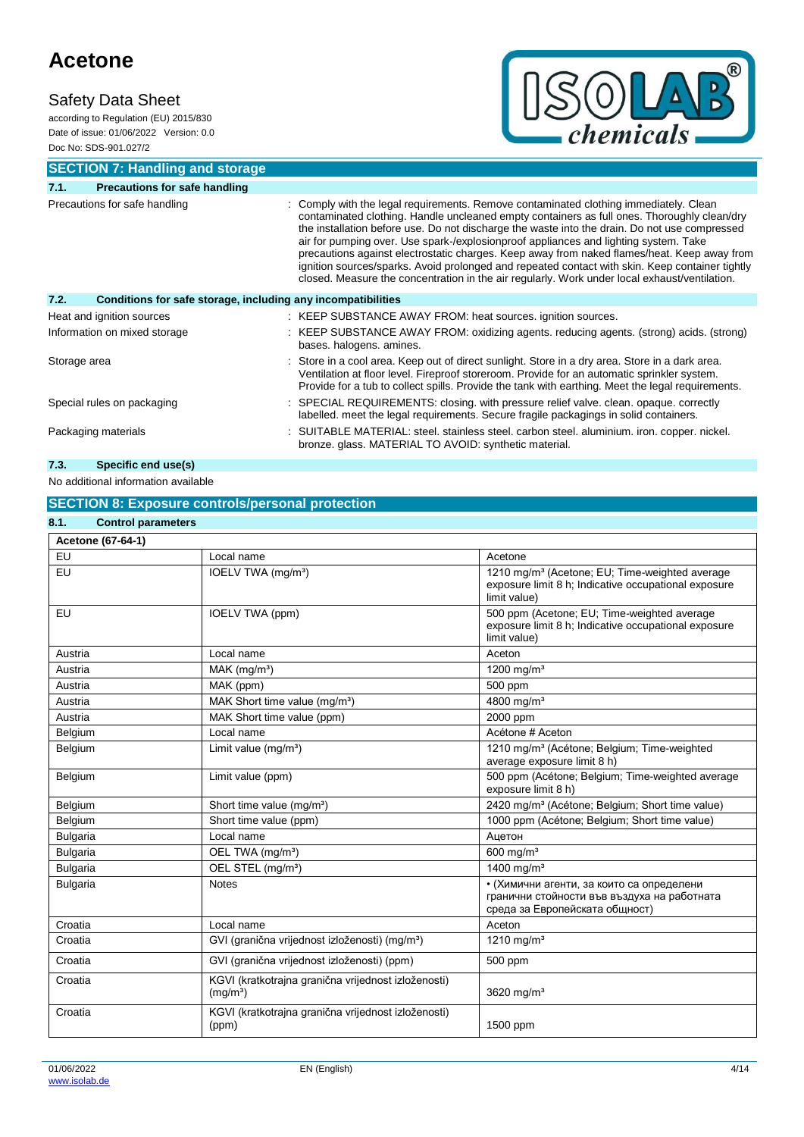# **Safety Data Sheet**

according to Regulation (EU) 2015/830 Date of issue: 01/06/2022 Version: 0.0 Doc No: SDS-901.027/2



**SECTION 7: Handling and storage**

| 7.1.                          | <b>Precautions for safe handling</b>                         |                                                                                                                                                                                                                                                                                                                                                                                                                                                                                                                                                                                                                                                                                  |  |
|-------------------------------|--------------------------------------------------------------|----------------------------------------------------------------------------------------------------------------------------------------------------------------------------------------------------------------------------------------------------------------------------------------------------------------------------------------------------------------------------------------------------------------------------------------------------------------------------------------------------------------------------------------------------------------------------------------------------------------------------------------------------------------------------------|--|
| Precautions for safe handling |                                                              | : Comply with the legal requirements. Remove contaminated clothing immediately. Clean<br>contaminated clothing. Handle uncleaned empty containers as full ones. Thoroughly clean/dry<br>the installation before use. Do not discharge the waste into the drain. Do not use compressed<br>air for pumping over. Use spark-/explosionproof appliances and lighting system. Take<br>precautions against electrostatic charges. Keep away from naked flames/heat. Keep away from<br>ignition sources/sparks. Avoid prolonged and repeated contact with skin. Keep container tightly<br>closed. Measure the concentration in the air regularly. Work under local exhaust/ventilation. |  |
| 7.2.                          | Conditions for safe storage, including any incompatibilities |                                                                                                                                                                                                                                                                                                                                                                                                                                                                                                                                                                                                                                                                                  |  |
| Heat and ignition sources     |                                                              | : KEEP SUBSTANCE AWAY FROM: heat sources. ignition sources.                                                                                                                                                                                                                                                                                                                                                                                                                                                                                                                                                                                                                      |  |
| Information on mixed storage  |                                                              | : KEEP SUBSTANCE AWAY FROM: oxidizing agents. reducing agents. (strong) acids. (strong)<br>bases. halogens. amines.                                                                                                                                                                                                                                                                                                                                                                                                                                                                                                                                                              |  |
| Storage area                  |                                                              | : Store in a cool area. Keep out of direct sunlight. Store in a dry area. Store in a dark area.<br>Ventilation at floor level. Fireproof storeroom. Provide for an automatic sprinkler system.<br>Provide for a tub to collect spills. Provide the tank with earthing. Meet the legal requirements.                                                                                                                                                                                                                                                                                                                                                                              |  |
| Special rules on packaging    |                                                              | : SPECIAL REQUIREMENTS: closing. with pressure relief valve. clean. opaque. correctly<br>labelled. meet the legal requirements. Secure fragile packagings in solid containers.                                                                                                                                                                                                                                                                                                                                                                                                                                                                                                   |  |
| Packaging materials           |                                                              | : SUITABLE MATERIAL: steel. stainless steel. carbon steel. aluminium. iron. copper. nickel.<br>bronze. glass. MATERIAL TO AVOID: synthetic material.                                                                                                                                                                                                                                                                                                                                                                                                                                                                                                                             |  |

# **7.3. Specific end use(s)**

## No additional information available

## **SECTION 8: Exposure controls/personal protection**

| <b>Control parameters</b><br>8.1. |                                                                             |                                                                                                                                    |
|-----------------------------------|-----------------------------------------------------------------------------|------------------------------------------------------------------------------------------------------------------------------------|
| Acetone (67-64-1)                 |                                                                             |                                                                                                                                    |
| EU                                | Local name                                                                  | Acetone                                                                                                                            |
| EU                                | IOELV TWA (mg/m <sup>3</sup> )                                              | 1210 mg/m <sup>3</sup> (Acetone; EU; Time-weighted average<br>exposure limit 8 h; Indicative occupational exposure<br>limit value) |
| EU                                | IOELV TWA (ppm)                                                             | 500 ppm (Acetone: EU; Time-weighted average<br>exposure limit 8 h; Indicative occupational exposure<br>limit value)                |
| Austria                           | Local name                                                                  | Aceton                                                                                                                             |
| Austria                           | MAK (mg/m <sup>3</sup> )                                                    | 1200 mg/ $m3$                                                                                                                      |
| Austria                           | MAK (ppm)                                                                   | 500 ppm                                                                                                                            |
| Austria                           | MAK Short time value (mg/m <sup>3</sup> )                                   | 4800 mg/m <sup>3</sup>                                                                                                             |
| Austria                           | MAK Short time value (ppm)                                                  | 2000 ppm                                                                                                                           |
| Belgium                           | Local name                                                                  | Acétone # Aceton                                                                                                                   |
| Belgium                           | Limit value (mg/m <sup>3</sup> )                                            | 1210 mg/m <sup>3</sup> (Acétone; Belgium; Time-weighted<br>average exposure limit 8 h)                                             |
| Belgium                           | Limit value (ppm)                                                           | 500 ppm (Acétone; Belgium; Time-weighted average<br>exposure limit 8 h)                                                            |
| Belgium                           | Short time value (mg/m <sup>3</sup> )                                       | 2420 mg/m <sup>3</sup> (Acétone; Belgium; Short time value)                                                                        |
| Belgium                           | Short time value (ppm)                                                      | 1000 ppm (Acétone; Belgium; Short time value)                                                                                      |
| <b>Bulgaria</b>                   | Local name                                                                  | Ацетон                                                                                                                             |
| <b>Bulgaria</b>                   | OEL TWA (mg/m <sup>3</sup> )                                                | 600 mg/ $m3$                                                                                                                       |
| <b>Bulgaria</b>                   | OEL STEL (mg/m <sup>3</sup> )                                               | 1400 mg/m <sup>3</sup>                                                                                                             |
| <b>Bulgaria</b>                   | <b>Notes</b>                                                                | • (Химични агенти, за които са определени<br>гранични стойности във въздуха на работната<br>среда за Европейската общност)         |
| Croatia                           | Local name                                                                  | Aceton                                                                                                                             |
| Croatia                           | GVI (granična vrijednost izloženosti) (mg/m <sup>3</sup> )                  | 1210 mg/m <sup>3</sup>                                                                                                             |
| Croatia                           | GVI (granična vrijednost izloženosti) (ppm)                                 | 500 ppm                                                                                                                            |
| Croatia                           | KGVI (kratkotrajna granična vrijednost izloženosti)<br>(mg/m <sup>3</sup> ) | 3620 mg/ $m3$                                                                                                                      |
| Croatia                           | KGVI (kratkotrajna granična vrijednost izloženosti)<br>(ppm)                | 1500 ppm                                                                                                                           |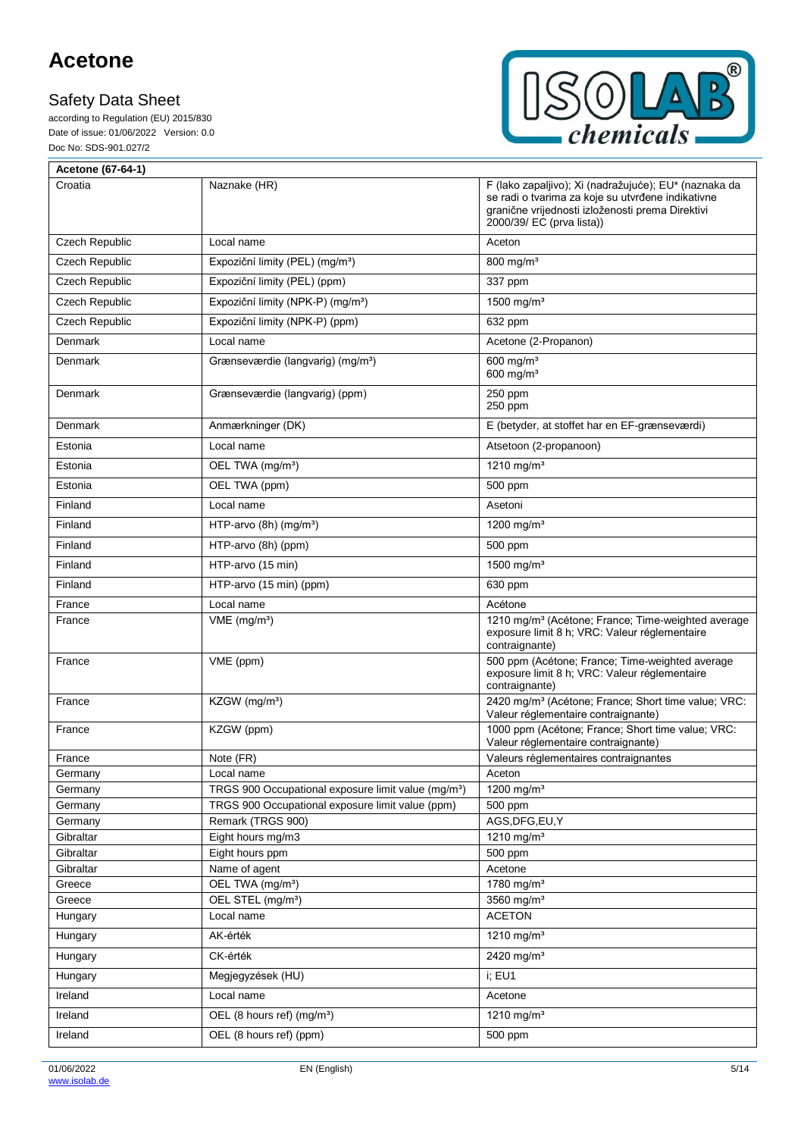F

according to Regulation (EU) 2015/830 Date of issue: 01/06/2022 Version: 0.0 Doc No: SDS-901.027/2



| Acetone (67-64-1)     |                                                                       |                                                                                                                                                                                             |
|-----------------------|-----------------------------------------------------------------------|---------------------------------------------------------------------------------------------------------------------------------------------------------------------------------------------|
| Croatia               | Naznake (HR)                                                          | F (lako zapaljivo); Xi (nadražujuće); EU* (naznaka da<br>se radi o tvarima za koje su utvrđene indikativne<br>granične vrijednosti izloženosti prema Direktivi<br>2000/39/ EC (prva lista)) |
| Czech Republic        | Local name                                                            | Aceton                                                                                                                                                                                      |
| Czech Republic        | Expoziční limity (PEL) (mg/m <sup>3</sup> )                           | 800 mg/m <sup>3</sup>                                                                                                                                                                       |
| Czech Republic        | Expoziční limity (PEL) (ppm)                                          | 337 ppm                                                                                                                                                                                     |
| Czech Republic        | Expoziční limity (NPK-P) (mg/m <sup>3</sup> )                         | 1500 mg/m <sup>3</sup>                                                                                                                                                                      |
| <b>Czech Republic</b> | Expoziční limity (NPK-P) (ppm)                                        | 632 ppm                                                                                                                                                                                     |
| <b>Denmark</b>        | Local name                                                            | Acetone (2-Propanon)                                                                                                                                                                        |
| Denmark               | Grænseværdie (langvarig) (mg/m <sup>3</sup> )                         | 600 mg/ $m3$<br>600 mg/ $m3$                                                                                                                                                                |
| Denmark               | Grænseværdie (langvarig) (ppm)                                        | 250 ppm<br>250 ppm                                                                                                                                                                          |
| Denmark               | Anmærkninger (DK)                                                     | E (betyder, at stoffet har en EF-grænseværdi)                                                                                                                                               |
| Estonia               | Local name                                                            | Atsetoon (2-propanoon)                                                                                                                                                                      |
| Estonia               | OEL TWA (mg/m <sup>3</sup> )                                          | 1210 mg/m <sup>3</sup>                                                                                                                                                                      |
| Estonia               | OEL TWA (ppm)                                                         | 500 ppm                                                                                                                                                                                     |
| Finland               | Local name                                                            | Asetoni                                                                                                                                                                                     |
| Finland               | HTP-arvo $(8h)$ (mg/m <sup>3</sup> )                                  | 1200 mg/m <sup>3</sup>                                                                                                                                                                      |
| Finland               | HTP-arvo (8h) (ppm)                                                   | 500 ppm                                                                                                                                                                                     |
| Finland               | HTP-arvo (15 min)                                                     | 1500 mg/m <sup>3</sup>                                                                                                                                                                      |
| Finland               | HTP-arvo (15 min) (ppm)                                               | 630 ppm                                                                                                                                                                                     |
| France                | Local name                                                            | Acétone                                                                                                                                                                                     |
| France                | $VME$ (mg/m <sup>3</sup> )                                            | 1210 mg/m <sup>3</sup> (Acétone; France; Time-weighted average<br>exposure limit 8 h; VRC: Valeur réglementaire<br>contraignante)                                                           |
| France                | VME (ppm)                                                             | 500 ppm (Acétone; France; Time-weighted average<br>exposure limit 8 h; VRC: Valeur réglementaire<br>contraignante)                                                                          |
| France                | KZGW (mg/m <sup>3</sup> )                                             | 2420 mg/m <sup>3</sup> (Acétone; France; Short time value; VRC:<br>Valeur réglementaire contraignante)                                                                                      |
| France                | KZGW (ppm)                                                            | 1000 ppm (Acétone; France; Short time value; VRC:<br>Valeur réglementaire contraignante)                                                                                                    |
| France                | Note (FR)                                                             | Valeurs règlementaires contraignantes                                                                                                                                                       |
| Germany               | Local name                                                            | Aceton                                                                                                                                                                                      |
| Germany               | TRGS 900 Occupational exposure limit value (mg/m <sup>3</sup> )       | 1200 mg/m <sup>3</sup>                                                                                                                                                                      |
| Germany<br>Germany    | TRGS 900 Occupational exposure limit value (ppm)<br>Remark (TRGS 900) | 500 ppm<br>AGS, DFG, EU, Y                                                                                                                                                                  |
| Gibraltar             | Eight hours mg/m3                                                     | 1210 mg/m <sup>3</sup>                                                                                                                                                                      |
| Gibraltar             | Eight hours ppm                                                       | 500 ppm                                                                                                                                                                                     |
| Gibraltar             | Name of agent                                                         | Acetone                                                                                                                                                                                     |
| Greece                | OEL TWA (mg/m <sup>3</sup> )                                          | 1780 mg/m $3$                                                                                                                                                                               |
| Greece                | OEL STEL (mg/m <sup>3</sup> )                                         | 3560 mg/ $m3$                                                                                                                                                                               |
| Hungary               | Local name                                                            | <b>ACETON</b>                                                                                                                                                                               |
| Hungary               | AK-érték                                                              | 1210 mg/m <sup>3</sup>                                                                                                                                                                      |
| Hungary               | CK-érték                                                              | 2420 mg/m <sup>3</sup>                                                                                                                                                                      |
| Hungary               | Megjegyzések (HU)                                                     | i; EU1                                                                                                                                                                                      |
| Ireland               | Local name                                                            | Acetone                                                                                                                                                                                     |
| Ireland               | OEL (8 hours ref) (mg/m <sup>3</sup> )                                | 1210 mg/m <sup>3</sup>                                                                                                                                                                      |
| Ireland               | OEL (8 hours ref) (ppm)                                               | 500 ppm                                                                                                                                                                                     |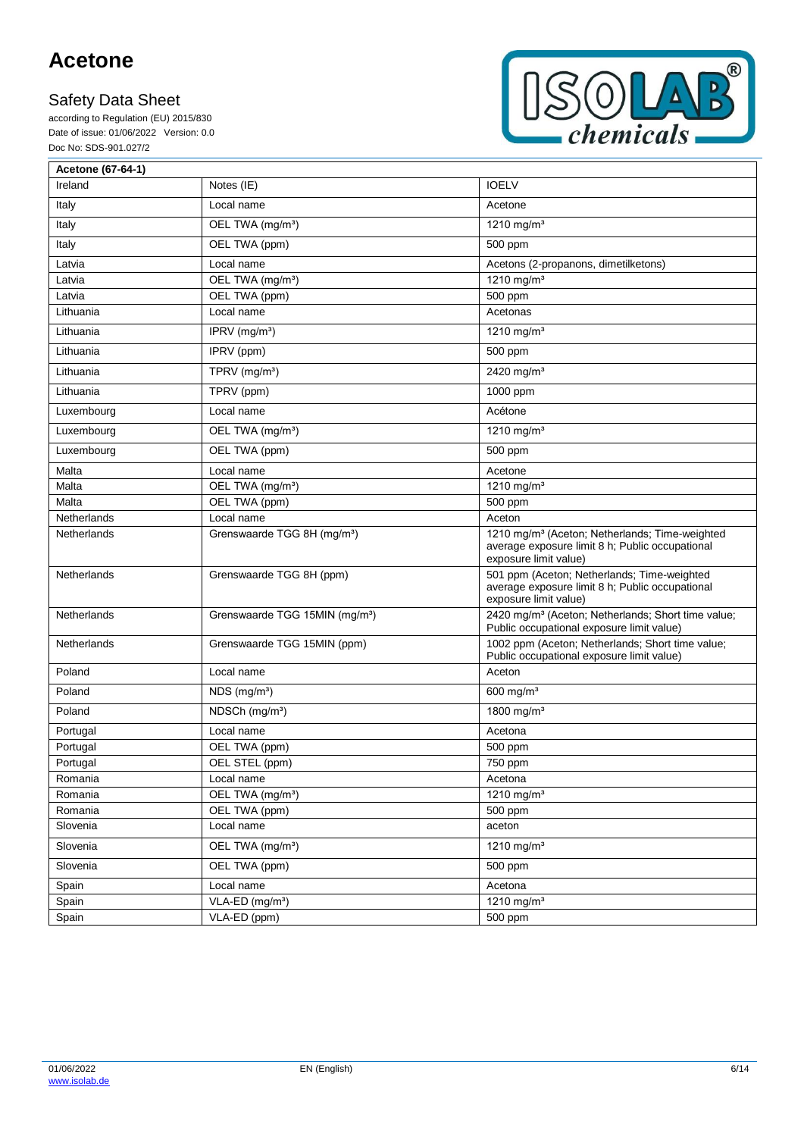according to Regulation (EU) 2015/830 Date of issue: 01/06/2022 Version: 0.0 Doc No: SDS-901.027/2



| Acetone (67-64-1) |                                            |                                                                                                                                        |
|-------------------|--------------------------------------------|----------------------------------------------------------------------------------------------------------------------------------------|
| Ireland           | Notes (IE)                                 | <b>IOELV</b>                                                                                                                           |
| Italy             | Local name                                 | Acetone                                                                                                                                |
| Italy             | OEL TWA (mg/m <sup>3</sup> )               | 1210 mg/m <sup>3</sup>                                                                                                                 |
| Italy             | OEL TWA (ppm)                              | 500 ppm                                                                                                                                |
| Latvia            | Local name                                 | Acetons (2-propanons, dimetilketons)                                                                                                   |
| Latvia            | OEL TWA (mg/m <sup>3</sup> )               | 1210 mg/m <sup>3</sup>                                                                                                                 |
| Latvia            | OEL TWA (ppm)                              | 500 ppm                                                                                                                                |
| Lithuania         | Local name                                 | Acetonas                                                                                                                               |
| Lithuania         | IPRV $(mg/m3)$                             | 1210 mg/m <sup>3</sup>                                                                                                                 |
| Lithuania         | IPRV (ppm)                                 | 500 ppm                                                                                                                                |
| Lithuania         | TPRV (mg/m <sup>3</sup> )                  | 2420 mg/m <sup>3</sup>                                                                                                                 |
| Lithuania         | TPRV (ppm)                                 | 1000 ppm                                                                                                                               |
| Luxembourg        | Local name                                 | Acétone                                                                                                                                |
| Luxembourg        | OEL TWA (mg/m <sup>3</sup> )               | 1210 mg/m <sup>3</sup>                                                                                                                 |
| Luxembourg        | OEL TWA (ppm)                              | 500 ppm                                                                                                                                |
| Malta             | Local name                                 | Acetone                                                                                                                                |
| Malta             | OEL TWA (mg/m <sup>3</sup> )               | 1210 mg/m <sup>3</sup>                                                                                                                 |
| Malta             | OEL TWA (ppm)                              | 500 ppm                                                                                                                                |
| Netherlands       | Local name                                 | Aceton                                                                                                                                 |
| Netherlands       | Grenswaarde TGG 8H (mg/m <sup>3</sup> )    | 1210 mg/m <sup>3</sup> (Aceton; Netherlands; Time-weighted<br>average exposure limit 8 h; Public occupational<br>exposure limit value) |
| Netherlands       | Grenswaarde TGG 8H (ppm)                   | 501 ppm (Aceton; Netherlands; Time-weighted<br>average exposure limit 8 h; Public occupational<br>exposure limit value)                |
| Netherlands       | Grenswaarde TGG 15MIN (mg/m <sup>3</sup> ) | 2420 mg/m <sup>3</sup> (Aceton; Netherlands; Short time value;<br>Public occupational exposure limit value)                            |
| Netherlands       | Grenswaarde TGG 15MIN (ppm)                | 1002 ppm (Aceton; Netherlands; Short time value;<br>Public occupational exposure limit value)                                          |
| Poland            | Local name                                 | Aceton                                                                                                                                 |
| Poland            | $NDS$ (mg/m <sup>3</sup> )                 | $600$ mg/m <sup>3</sup>                                                                                                                |
| Poland            | NDSCh (mg/m <sup>3</sup> )                 | 1800 mg/m <sup>3</sup>                                                                                                                 |
| Portugal          | Local name                                 | Acetona                                                                                                                                |
| Portugal          | OEL TWA (ppm)                              | 500 ppm                                                                                                                                |
| Portugal          | OEL STEL (ppm)                             | 750 ppm                                                                                                                                |
| Romania           | Local name                                 | Acetona                                                                                                                                |
| Romania           | OEL TWA (mg/m <sup>3</sup> )               | 1210 mg/m <sup>3</sup>                                                                                                                 |
| Romania           | OEL TWA (ppm)                              | 500 ppm                                                                                                                                |
| Slovenia          | Local name                                 | aceton                                                                                                                                 |
| Slovenia          | OEL TWA (mg/m <sup>3</sup> )               | 1210 mg/m <sup>3</sup>                                                                                                                 |
| Slovenia          | OEL TWA (ppm)                              | 500 ppm                                                                                                                                |
| Spain             | Local name                                 | Acetona                                                                                                                                |
| Spain             | VLA-ED (mg/m <sup>3</sup> )                | 1210 mg/m <sup>3</sup>                                                                                                                 |
| Spain             | VLA-ED (ppm)                               | 500 ppm                                                                                                                                |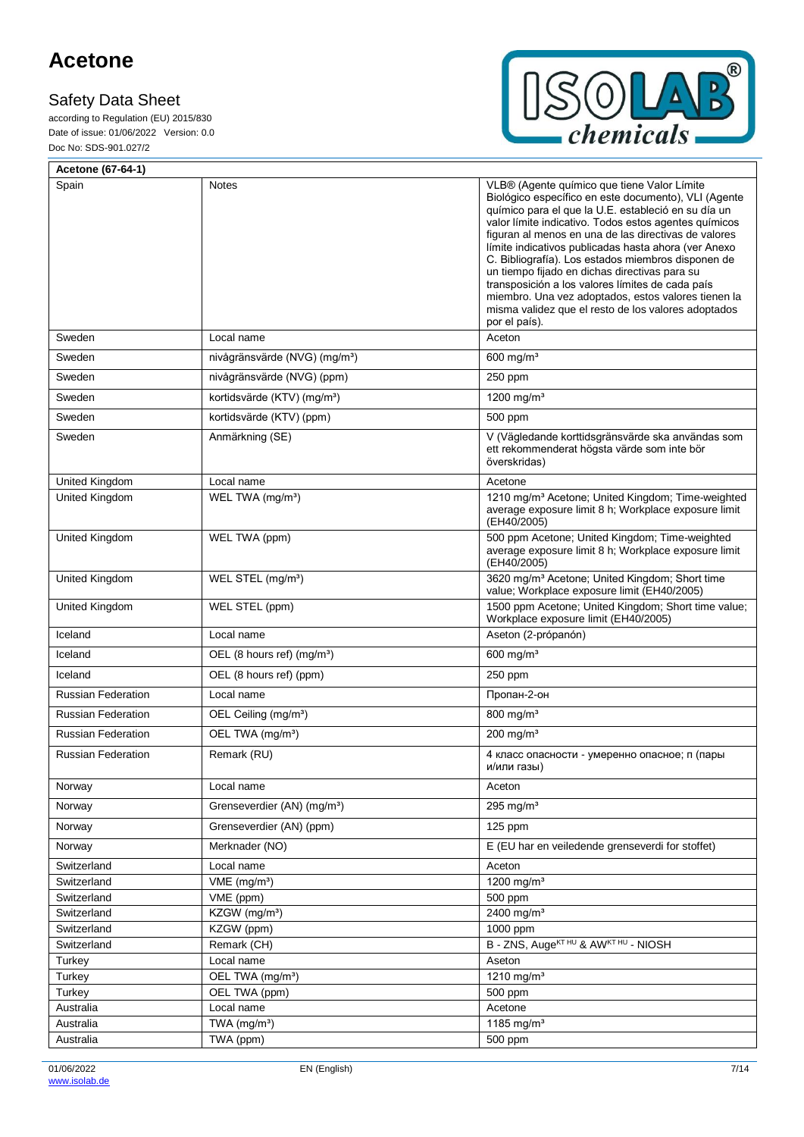F

according to Regulation (EU) 2015/830 Date of issue: 01/06/2022 Version: 0.0 Doc No: SDS-901.027/2



| Acetone (67-64-1)         |                                           |                                                                                                                                                                                                                                                                                                                                                                                                                                                                                                                                                                                                                               |
|---------------------------|-------------------------------------------|-------------------------------------------------------------------------------------------------------------------------------------------------------------------------------------------------------------------------------------------------------------------------------------------------------------------------------------------------------------------------------------------------------------------------------------------------------------------------------------------------------------------------------------------------------------------------------------------------------------------------------|
| Spain                     | Notes                                     | VLB® (Agente químico que tiene Valor Límite<br>Biológico específico en este documento), VLI (Agente<br>químico para el que la U.E. estableció en su día un<br>valor límite indicativo. Todos estos agentes químicos<br>figuran al menos en una de las directivas de valores<br>límite indicativos publicadas hasta ahora (ver Anexo<br>C. Bibliografía). Los estados miembros disponen de<br>un tiempo fijado en dichas directivas para su<br>transposición a los valores límites de cada país<br>miembro. Una vez adoptados, estos valores tienen la<br>misma validez que el resto de los valores adoptados<br>por el país). |
| Sweden                    | Local name                                | Aceton                                                                                                                                                                                                                                                                                                                                                                                                                                                                                                                                                                                                                        |
| Sweden                    | nivågränsvärde (NVG) (mg/m <sup>3</sup> ) | $600$ mg/m <sup>3</sup>                                                                                                                                                                                                                                                                                                                                                                                                                                                                                                                                                                                                       |
| Sweden                    | nivågränsvärde (NVG) (ppm)                | 250 ppm                                                                                                                                                                                                                                                                                                                                                                                                                                                                                                                                                                                                                       |
| Sweden                    | kortidsvärde (KTV) (mg/m <sup>3</sup> )   | 1200 mg/m <sup>3</sup>                                                                                                                                                                                                                                                                                                                                                                                                                                                                                                                                                                                                        |
| Sweden                    | kortidsvärde (KTV) (ppm)                  | 500 ppm                                                                                                                                                                                                                                                                                                                                                                                                                                                                                                                                                                                                                       |
| Sweden                    | Anmärkning (SE)                           | V (Vägledande korttidsgränsvärde ska användas som<br>ett rekommenderat högsta värde som inte bör<br>överskridas)                                                                                                                                                                                                                                                                                                                                                                                                                                                                                                              |
| United Kingdom            | Local name                                | Acetone                                                                                                                                                                                                                                                                                                                                                                                                                                                                                                                                                                                                                       |
| <b>United Kingdom</b>     | WEL TWA (mg/m <sup>3</sup> )              | 1210 mg/m <sup>3</sup> Acetone; United Kingdom; Time-weighted<br>average exposure limit 8 h; Workplace exposure limit<br>(EH40/2005)                                                                                                                                                                                                                                                                                                                                                                                                                                                                                          |
| United Kingdom            | WEL TWA (ppm)                             | 500 ppm Acetone; United Kingdom; Time-weighted<br>average exposure limit 8 h; Workplace exposure limit<br>(EH40/2005)                                                                                                                                                                                                                                                                                                                                                                                                                                                                                                         |
| United Kingdom            | WEL STEL (mg/m <sup>3</sup> )             | 3620 mg/m <sup>3</sup> Acetone; United Kingdom; Short time<br>value; Workplace exposure limit (EH40/2005)                                                                                                                                                                                                                                                                                                                                                                                                                                                                                                                     |
| United Kingdom            | WEL STEL (ppm)                            | 1500 ppm Acetone; United Kingdom; Short time value;<br>Workplace exposure limit (EH40/2005)                                                                                                                                                                                                                                                                                                                                                                                                                                                                                                                                   |
| Iceland                   | Local name                                | Aseton (2-própanón)                                                                                                                                                                                                                                                                                                                                                                                                                                                                                                                                                                                                           |
| Iceland                   | OEL (8 hours ref) (mg/m <sup>3</sup> )    | 600 mg/ $m3$                                                                                                                                                                                                                                                                                                                                                                                                                                                                                                                                                                                                                  |
| Iceland                   | OEL (8 hours ref) (ppm)                   | 250 ppm                                                                                                                                                                                                                                                                                                                                                                                                                                                                                                                                                                                                                       |
| <b>Russian Federation</b> | Local name                                | Пропан-2-он                                                                                                                                                                                                                                                                                                                                                                                                                                                                                                                                                                                                                   |
| <b>Russian Federation</b> | OEL Ceiling (mg/m <sup>3</sup> )          | 800 mg/m <sup>3</sup>                                                                                                                                                                                                                                                                                                                                                                                                                                                                                                                                                                                                         |
| <b>Russian Federation</b> | OEL TWA (mg/m <sup>3</sup> )              | 200 mg/m <sup>3</sup>                                                                                                                                                                                                                                                                                                                                                                                                                                                                                                                                                                                                         |
| <b>Russian Federation</b> | Remark (RU)                               | 4 класс опасности - умеренно опасное; п (пары<br>и/или газы)                                                                                                                                                                                                                                                                                                                                                                                                                                                                                                                                                                  |
| Norway                    | Local name                                | Aceton                                                                                                                                                                                                                                                                                                                                                                                                                                                                                                                                                                                                                        |
| Norway                    | Grenseverdier (AN) (mg/m <sup>3</sup> )   | 295 mg/ $m3$                                                                                                                                                                                                                                                                                                                                                                                                                                                                                                                                                                                                                  |
| Norway                    | Grenseverdier (AN) (ppm)                  | 125 ppm                                                                                                                                                                                                                                                                                                                                                                                                                                                                                                                                                                                                                       |
| Norway                    | Merknader (NO)                            | E (EU har en veiledende grenseverdi for stoffet)                                                                                                                                                                                                                                                                                                                                                                                                                                                                                                                                                                              |
| Switzerland               | Local name                                | Aceton                                                                                                                                                                                                                                                                                                                                                                                                                                                                                                                                                                                                                        |
| Switzerland               | $VME$ (mg/m <sup>3</sup> )                | 1200 mg/m <sup>3</sup>                                                                                                                                                                                                                                                                                                                                                                                                                                                                                                                                                                                                        |
| Switzerland               | VME (ppm)                                 | 500 ppm                                                                                                                                                                                                                                                                                                                                                                                                                                                                                                                                                                                                                       |
| Switzerland               | KZGW (mg/m <sup>3</sup> )                 | 2400 mg/m <sup>3</sup>                                                                                                                                                                                                                                                                                                                                                                                                                                                                                                                                                                                                        |
| Switzerland               | KZGW (ppm)                                | 1000 ppm                                                                                                                                                                                                                                                                                                                                                                                                                                                                                                                                                                                                                      |
| Switzerland               | Remark (CH)                               | B - ZNS, Auge <sup>KT HU</sup> & AWKT HU - NIOSH                                                                                                                                                                                                                                                                                                                                                                                                                                                                                                                                                                              |
| Turkey                    | Local name                                | Aseton                                                                                                                                                                                                                                                                                                                                                                                                                                                                                                                                                                                                                        |
| Turkey                    | OEL TWA (mg/m <sup>3</sup> )              | 1210 mg/m $3$                                                                                                                                                                                                                                                                                                                                                                                                                                                                                                                                                                                                                 |
| Turkey                    | OEL TWA (ppm)                             | 500 ppm                                                                                                                                                                                                                                                                                                                                                                                                                                                                                                                                                                                                                       |
| Australia                 | Local name                                | Acetone                                                                                                                                                                                                                                                                                                                                                                                                                                                                                                                                                                                                                       |
| Australia                 | TWA (mg/m <sup>3</sup> )                  | 1185 mg/m <sup>3</sup>                                                                                                                                                                                                                                                                                                                                                                                                                                                                                                                                                                                                        |
| Australia                 | TWA (ppm)                                 | 500 ppm                                                                                                                                                                                                                                                                                                                                                                                                                                                                                                                                                                                                                       |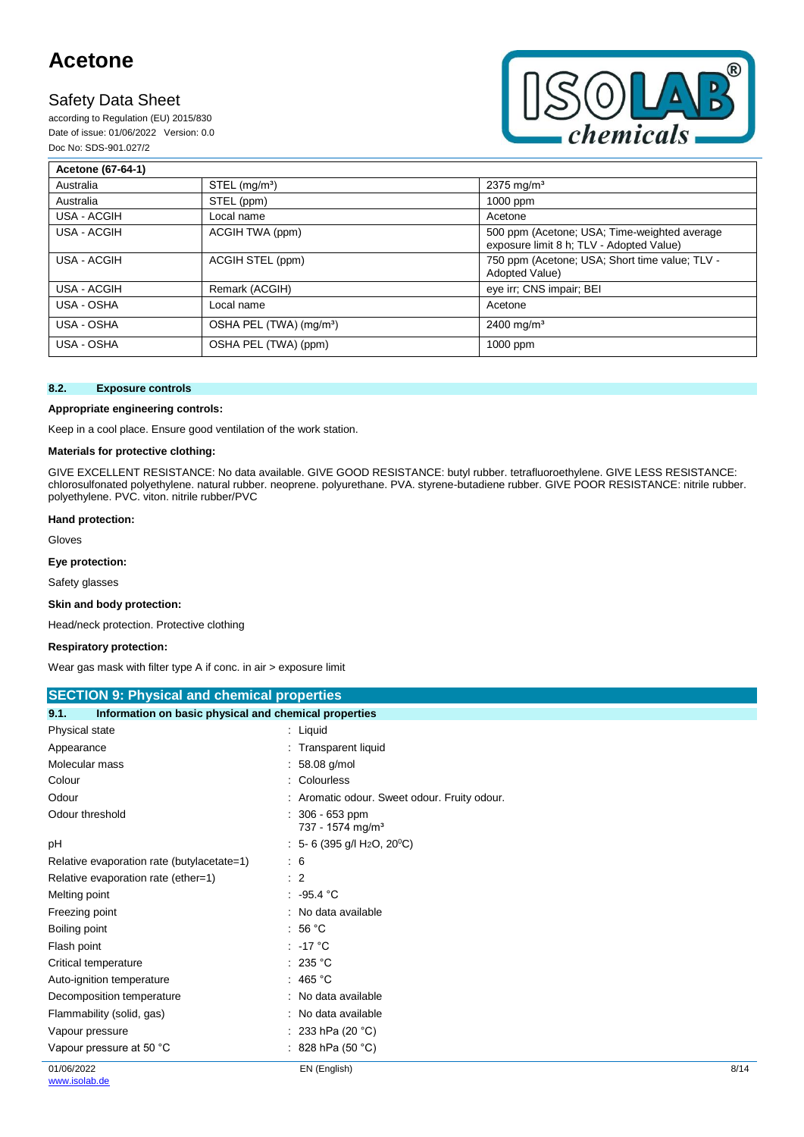# **Safety Data Sheet**

according to Regulation (EU) 2015/830 Date of issue: 01/06/2022 Version: 0.0 Doc No: SDS-901.027/2



| Acetone (67-64-1) |                                     |                                                                                          |
|-------------------|-------------------------------------|------------------------------------------------------------------------------------------|
| Australia         | $STEL$ (mg/m <sup>3</sup> )         | $2375 \,\mathrm{mq/m^3}$                                                                 |
| Australia         | STEL (ppm)                          | 1000 ppm                                                                                 |
| USA - ACGIH       | Local name                          | Acetone                                                                                  |
| USA - ACGIH       | ACGIH TWA (ppm)                     | 500 ppm (Acetone; USA; Time-weighted average<br>exposure limit 8 h; TLV - Adopted Value) |
| USA - ACGIH       | ACGIH STEL (ppm)                    | 750 ppm (Acetone; USA; Short time value; TLV -<br>Adopted Value)                         |
| USA - ACGIH       | Remark (ACGIH)                      | eye irr; CNS impair; BEI                                                                 |
| USA - OSHA        | Local name                          | Acetone                                                                                  |
| USA - OSHA        | OSHA PEL (TWA) (mg/m <sup>3</sup> ) | $2400$ mg/m <sup>3</sup>                                                                 |
| USA - OSHA        | OSHA PEL (TWA) (ppm)                | 1000 ppm                                                                                 |

#### **8.2. Exposure controls**

#### **Appropriate engineering controls:**

Keep in a cool place. Ensure good ventilation of the work station.

### **Materials for protective clothing:**

GIVE EXCELLENT RESISTANCE: No data available. GIVE GOOD RESISTANCE: butyl rubber. tetrafluoroethylene. GIVE LESS RESISTANCE: chlorosulfonated polyethylene. natural rubber. neoprene. polyurethane. PVA. styrene-butadiene rubber. GIVE POOR RESISTANCE: nitrile rubber. polyethylene. PVC. viton. nitrile rubber/PVC

#### **Hand protection:**

Gloves

#### **Eye protection:**

Safety glasses

#### **Skin and body protection:**

Head/neck protection. Protective clothing

#### **Respiratory protection:**

Wear gas mask with filter type A if conc. in air > exposure limit

| <b>SECTION 9: Physical and chemical properties</b> |  |  |
|----------------------------------------------------|--|--|
|                                                    |  |  |

| 9.1.<br>Information on basic physical and chemical properties |                                                       |      |
|---------------------------------------------------------------|-------------------------------------------------------|------|
| Physical state                                                | : Liquid                                              |      |
| Appearance                                                    | : Transparent liquid                                  |      |
| Molecular mass                                                | $: 58.08$ g/mol                                       |      |
| Colour                                                        | : Colourless                                          |      |
| Odour                                                         | : Aromatic odour. Sweet odour. Fruity odour.          |      |
| Odour threshold                                               | : 306 - 653 ppm<br>737 - 1574 mg/m <sup>3</sup>       |      |
| рH                                                            | $: 5-6$ (395 g/l H <sub>2</sub> O, 20 <sup>°</sup> C) |      |
| Relative evaporation rate (butylacetate=1)                    | $\therefore$ 6                                        |      |
| Relative evaporation rate (ether=1)                           | $\therefore$ 2                                        |      |
| Melting point                                                 | .95.4 °C                                              |      |
| Freezing point                                                | : No data available                                   |      |
| Boiling point                                                 | : 56 °C                                               |      |
| Flash point                                                   | $: -17 °C$                                            |      |
| Critical temperature                                          | : 235 °C                                              |      |
| Auto-ignition temperature                                     | : 465 °C                                              |      |
| Decomposition temperature                                     | : No data available                                   |      |
| Flammability (solid, gas)                                     | : No data available                                   |      |
| Vapour pressure                                               | : 233 hPa (20 $^{\circ}$ C)                           |      |
| Vapour pressure at 50 °C                                      | : 828 hPa (50 $^{\circ}$ C)                           |      |
| 01/06/2022                                                    | EN (English)                                          | 8/14 |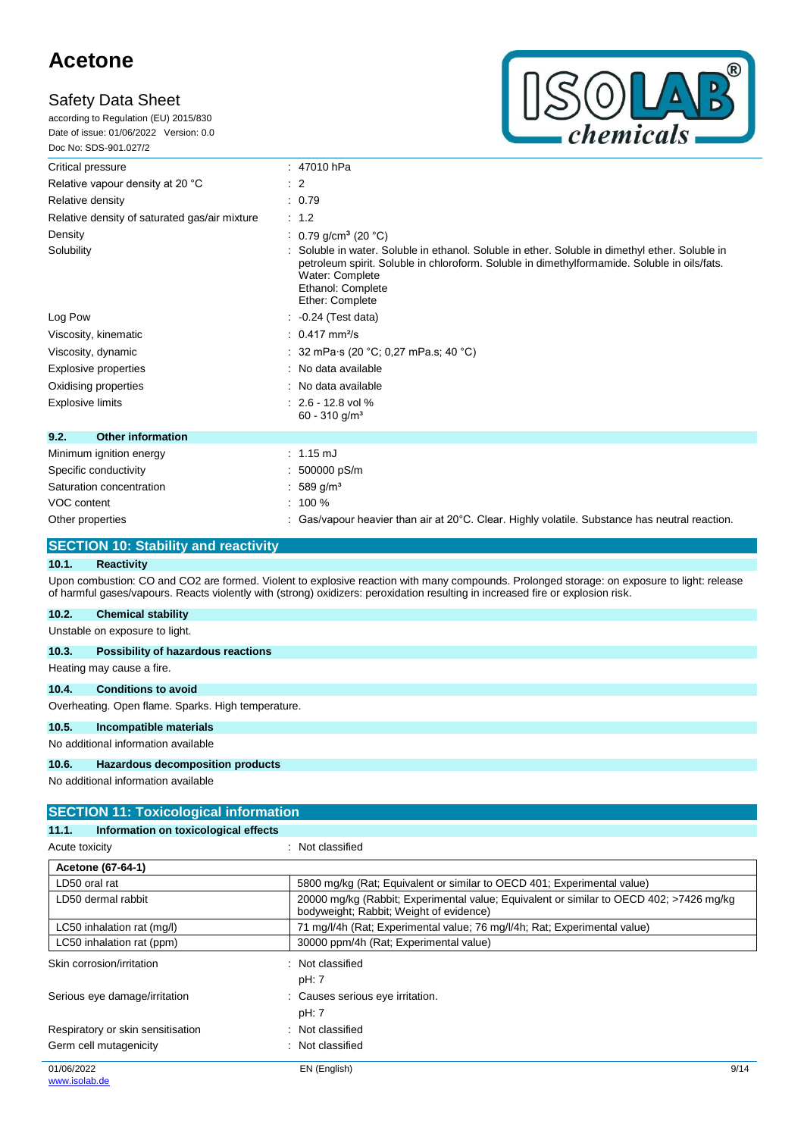according to Regulation (EU) 2015/830 Date of issue: 01/06/2022 Version: 0.0 Doc No: SDS-901.027/2



| Critical pressure                             | : 47010 hPa                                                                                                                                                                                                                                              |  |  |
|-----------------------------------------------|----------------------------------------------------------------------------------------------------------------------------------------------------------------------------------------------------------------------------------------------------------|--|--|
| Relative vapour density at 20 °C              | $\therefore$ 2                                                                                                                                                                                                                                           |  |  |
| Relative density                              | : 0.79                                                                                                                                                                                                                                                   |  |  |
| Relative density of saturated gas/air mixture | $\therefore$ 1.2                                                                                                                                                                                                                                         |  |  |
| Density                                       | : 0.79 g/cm <sup>3</sup> (20 °C)                                                                                                                                                                                                                         |  |  |
| Solubility                                    | Soluble in water. Soluble in ethanol. Soluble in ether. Soluble in dimethyl ether. Soluble in<br>petroleum spirit. Soluble in chloroform. Soluble in dimethylformamide. Soluble in oils/fats.<br>Water: Complete<br>Ethanol: Complete<br>Ether: Complete |  |  |
| Log Pow                                       | $-0.24$ (Test data)                                                                                                                                                                                                                                      |  |  |
| Viscosity, kinematic                          | $: 0.417$ mm <sup>2</sup> /s                                                                                                                                                                                                                             |  |  |
| Viscosity, dynamic                            | 32 mPa·s (20 °C; 0,27 mPa.s; 40 °C)                                                                                                                                                                                                                      |  |  |
| Explosive properties                          | No data available                                                                                                                                                                                                                                        |  |  |
| Oxidising properties                          | : No data available                                                                                                                                                                                                                                      |  |  |
| <b>Explosive limits</b>                       | $: 2.6 - 12.8$ vol %<br>$60 - 310$ g/m <sup>3</sup>                                                                                                                                                                                                      |  |  |
| 9.2.<br><b>Other information</b>              |                                                                                                                                                                                                                                                          |  |  |
| Minimum ignition energy                       | $: 1.15 \text{ mJ}$                                                                                                                                                                                                                                      |  |  |
| Specific conductivity                         | 500000 pS/m                                                                                                                                                                                                                                              |  |  |
| Saturation concentration                      | 589 g/m <sup>3</sup>                                                                                                                                                                                                                                     |  |  |
| VOC content                                   | $: 100 \%$                                                                                                                                                                                                                                               |  |  |
| Other properties                              | Gas/vapour heavier than air at 20°C. Clear. Highly volatile. Substance has neutral reaction.                                                                                                                                                             |  |  |

### **SECTION 10: Stability and reactivity**

#### **10.1. Reactivity**

Upon combustion: CO and CO2 are formed. Violent to explosive reaction with many compounds. Prolonged storage: on exposure to light: release of harmful gases/vapours. Reacts violently with (strong) oxidizers: peroxidation resulting in increased fire or explosion risk.

### **10.2. Chemical stability**

Unstable on exposure to light.

#### **10.3. Possibility of hazardous reactions**

Heating may cause a fire.

### **10.4. Conditions to avoid**

Overheating. Open flame. Sparks. High temperature.

#### **10.5. Incompatible materials**

No additional information available

#### **10.6. Hazardous decomposition products**

| <b>SECTION 11: Toxicological information</b>  |                                                                                                                                    |      |  |  |
|-----------------------------------------------|------------------------------------------------------------------------------------------------------------------------------------|------|--|--|
| Information on toxicological effects<br>11.1. |                                                                                                                                    |      |  |  |
| Acute toxicity                                | : Not classified                                                                                                                   |      |  |  |
| Acetone (67-64-1)                             |                                                                                                                                    |      |  |  |
| LD50 oral rat                                 | 5800 mg/kg (Rat; Equivalent or similar to OECD 401; Experimental value)                                                            |      |  |  |
| LD50 dermal rabbit                            | 20000 mg/kg (Rabbit; Experimental value; Equivalent or similar to OECD 402; >7426 mg/kg<br>bodyweight; Rabbit; Weight of evidence) |      |  |  |
| LC50 inhalation rat (mg/l)                    | 71 mg/l/4h (Rat; Experimental value; 76 mg/l/4h; Rat; Experimental value)                                                          |      |  |  |
| LC50 inhalation rat (ppm)                     | 30000 ppm/4h (Rat; Experimental value)                                                                                             |      |  |  |
| Skin corrosion/irritation                     | : Not classified<br>pH: 7                                                                                                          |      |  |  |
| Serious eye damage/irritation                 | : Causes serious eye irritation.<br>pH: 7                                                                                          |      |  |  |
| Respiratory or skin sensitisation             | : Not classified                                                                                                                   |      |  |  |
| Germ cell mutagenicity                        | : Not classified                                                                                                                   |      |  |  |
| 01/06/2022<br>www.isolab.de                   | EN (English)                                                                                                                       | 9/14 |  |  |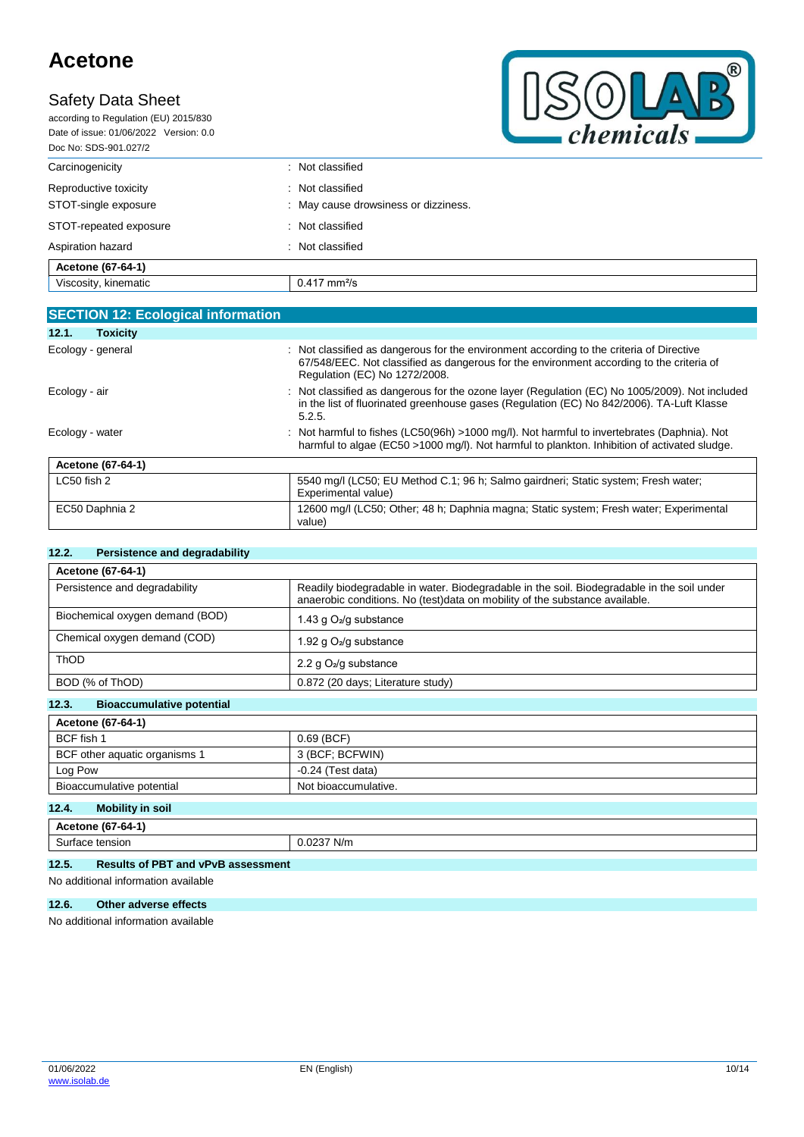# **Safety Data Sheet**

according to Regulation (EU) 2015/830 Date of issue: 01/06/2022 Version: 0.0 Doc No: SDS-901.027/2



| : Not classified                                         |
|----------------------------------------------------------|
| : Not classified<br>: May cause drowsiness or dizziness. |
| : Not classified                                         |
| : Not classified                                         |
|                                                          |
| $0.417$ mm <sup>2</sup> /s                               |
|                                                          |

|                 | <b>SECTION 12: Ecological information</b> |                                                                                                                                                                                                                       |
|-----------------|-------------------------------------------|-----------------------------------------------------------------------------------------------------------------------------------------------------------------------------------------------------------------------|
| 12.1.           | <b>Toxicity</b>                           |                                                                                                                                                                                                                       |
|                 | Ecology - general                         | : Not classified as dangerous for the environment according to the criteria of Directive<br>67/548/EEC. Not classified as dangerous for the environment according to the criteria of<br>Regulation (EC) No 1272/2008. |
| Ecology - air   |                                           | : Not classified as dangerous for the ozone layer (Regulation (EC) No 1005/2009). Not included<br>in the list of fluorinated greenhouse gases (Regulation (EC) No 842/2006). TA-Luft Klasse<br>5.2.5.                 |
| Ecology - water |                                           | : Not harmful to fishes (LC50(96h) >1000 mg/l). Not harmful to invertebrates (Daphnia). Not<br>harmful to algae (EC50 >1000 mg/l). Not harmful to plankton. Inhibition of activated sludge.                           |
|                 | Acetone (67-64-1)                         |                                                                                                                                                                                                                       |
| LC50 fish 2     |                                           | 5540 mg/l (LC50; EU Method C.1; 96 h; Salmo gairdneri; Static system; Fresh water;<br>Experimental value)                                                                                                             |
|                 | EC50 Daphnia 2                            | 12600 mg/l (LC50; Other; 48 h; Daphnia magna; Static system; Fresh water; Experimental<br>value)                                                                                                                      |

### **12.2. Persistence and degradability**

| Acetone (67-64-1)               |                                                                                                                                                                           |
|---------------------------------|---------------------------------------------------------------------------------------------------------------------------------------------------------------------------|
| Persistence and degradability   | Readily biodegradable in water. Biodegradable in the soil. Biodegradable in the soil under<br>anaerobic conditions. No (test)data on mobility of the substance available. |
| Biochemical oxygen demand (BOD) | 1.43 g $O_2$ /g substance                                                                                                                                                 |
| Chemical oxygen demand (COD)    | 1.92 g $O_2$ /g substance                                                                                                                                                 |
| <b>ThOD</b>                     | 2.2 g $O_2$ /g substance                                                                                                                                                  |
| BOD (% of ThOD)                 | 0.872 (20 days; Literature study)                                                                                                                                         |

### **12.3. Bioaccumulative potential**

| <b>Acetone (67-64-1)</b>      |                      |  |  |
|-------------------------------|----------------------|--|--|
| BCF fish 1                    | $0.69$ (BCF)         |  |  |
| BCF other aquatic organisms 1 | 3 (BCF; BCFWIN)      |  |  |
| Log Pow                       | $-0.24$ (Test data)  |  |  |
| Bioaccumulative potential     | Not bioaccumulative. |  |  |
| 12A<br>Mobility in eail       |                      |  |  |

### **12.4. Mobility in soil**

| $10-$<br>. .<br>/-64-<br>tone<br>10.                   |                                     |  |
|--------------------------------------------------------|-------------------------------------|--|
| tension<br>---<br>surt.<br>$-10$<br>iaut<br>. נכה<br>. | $\sim$ $\sim$ $\sim$<br>N/m<br>.uz. |  |

## **12.5. Results of PBT and vPvB assessment**

No additional information available

## **12.6. Other adverse effects**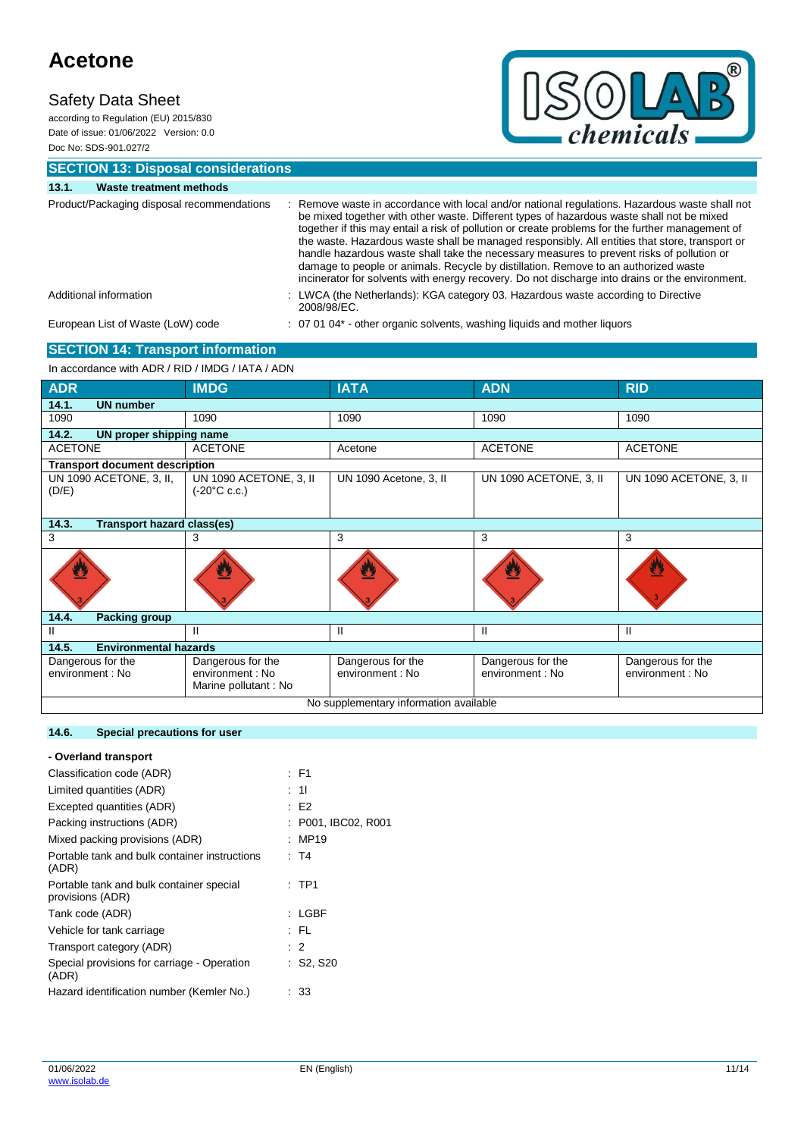according to Regulation (EU) 2015/830 Date of issue: 01/06/2022 Version: 0.0 Doc No: SDS-901.027/2



**SECTION 13: Disposal considerations**

| 13.1. | Waste treatment methods                    |                                                                                                                                                                                                                                                                                                                                                                                                                                                                                                                                                                                                                                                                                        |
|-------|--------------------------------------------|----------------------------------------------------------------------------------------------------------------------------------------------------------------------------------------------------------------------------------------------------------------------------------------------------------------------------------------------------------------------------------------------------------------------------------------------------------------------------------------------------------------------------------------------------------------------------------------------------------------------------------------------------------------------------------------|
|       | Product/Packaging disposal recommendations | Remove waste in accordance with local and/or national regulations. Hazardous waste shall not<br>be mixed together with other waste. Different types of hazardous waste shall not be mixed<br>together if this may entail a risk of pollution or create problems for the further management of<br>the waste. Hazardous waste shall be managed responsibly. All entities that store, transport or<br>handle hazardous waste shall take the necessary measures to prevent risks of pollution or<br>damage to people or animals. Recycle by distillation. Remove to an authorized waste<br>incinerator for solvents with energy recovery. Do not discharge into drains or the environment. |
|       | Additional information                     | : LWCA (the Netherlands): KGA category 03. Hazardous waste according to Directive<br>2008/98/EC.                                                                                                                                                                                                                                                                                                                                                                                                                                                                                                                                                                                       |
|       | European List of Waste (LoW) code          | : 07 01 04* - other organic solvents, washing liquids and mother liquors                                                                                                                                                                                                                                                                                                                                                                                                                                                                                                                                                                                                               |
|       | <b>SECTION 14: Transport information</b>   |                                                                                                                                                                                                                                                                                                                                                                                                                                                                                                                                                                                                                                                                                        |

### In accordance with ADR / RID / IMDG / IATA / ADN

| <b>ADR</b>                                 | <b>IMDG</b>                                      | <b>IATA</b>            | <b>ADN</b>             | <b>RID</b>             |  |  |
|--------------------------------------------|--------------------------------------------------|------------------------|------------------------|------------------------|--|--|
| 14.1.<br><b>UN number</b>                  |                                                  |                        |                        |                        |  |  |
| 1090                                       | 1090                                             | 1090                   | 1090                   | 1090                   |  |  |
| 14.2.<br>UN proper shipping name           |                                                  |                        |                        |                        |  |  |
| <b>ACETONE</b>                             | <b>ACETONE</b>                                   | Acetone                | <b>ACETONE</b>         | <b>ACETONE</b>         |  |  |
| <b>Transport document description</b>      |                                                  |                        |                        |                        |  |  |
| UN 1090 ACETONE, 3, II,<br>(D/E)           | UN 1090 ACETONE, 3, II<br>$(-20^{\circ}C \c.c.)$ | UN 1090 Acetone, 3, II | UN 1090 ACETONE, 3, II | UN 1090 ACETONE, 3, II |  |  |
| 14.3.<br><b>Transport hazard class(es)</b> |                                                  |                        |                        |                        |  |  |
| 3                                          | 3                                                | 3                      | 3                      | 3                      |  |  |
|                                            |                                                  |                        |                        | ₩                      |  |  |
| 14.4.<br><b>Packing group</b>              |                                                  |                        |                        |                        |  |  |
| Ш                                          | Ш                                                | Ш                      | Ш                      | Ш                      |  |  |
| <b>Environmental hazards</b><br>14.5.      |                                                  |                        |                        |                        |  |  |
| Dangerous for the                          | Dangerous for the                                | Dangerous for the      | Dangerous for the      | Dangerous for the      |  |  |
| environment : No                           | environment : No<br>Marine pollutant: No         | environment : No       | environment : No       | environment : No       |  |  |
| No supplementary information available     |                                                  |                        |                        |                        |  |  |

## **14.6. Special precautions for user**

| - Overland transport                                         |                      |
|--------------------------------------------------------------|----------------------|
| Classification code (ADR)                                    | $E = F1$             |
| Limited quantities (ADR)                                     | : 11                 |
| Excepted quantities (ADR)                                    | E2                   |
| Packing instructions (ADR)                                   | : P001, IBC02, R001  |
| Mixed packing provisions (ADR)                               | MP19                 |
| Portable tank and bulk container instructions<br>(ADR)       | : T4                 |
| Portable tank and bulk container special<br>provisions (ADR) | $:$ TP1              |
| Tank code (ADR)                                              | : LGBF               |
| Vehicle for tank carriage                                    | : FL                 |
| Transport category (ADR)                                     | $\therefore$ 2       |
| Special provisions for carriage - Operation<br>(ADR)         | $\therefore$ S2, S20 |
| Hazard identification number (Kemler No.)                    | 33                   |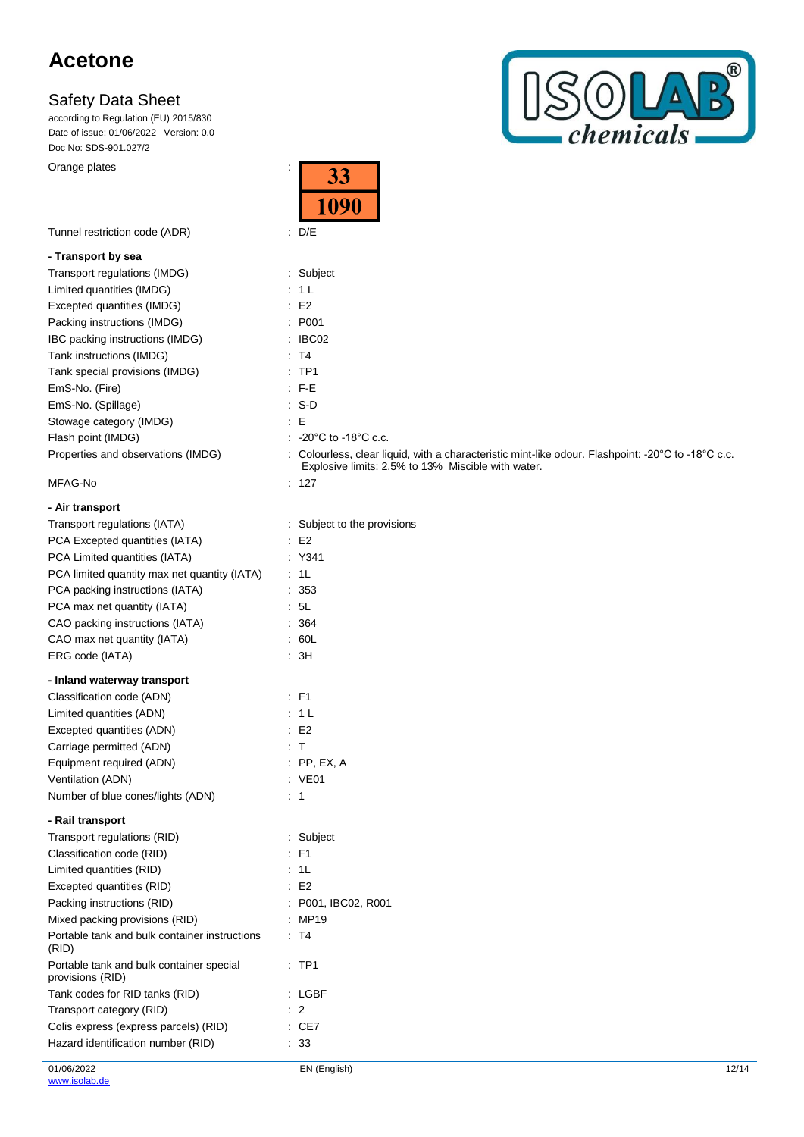according to Regulation (EU) 2015/830 Date of issue: 01/06/2022 Version: 0.0 Doc No: SDS-901.027/2

Orange plates in the set of the set of the set of the set of the set of the set of the set of the set of the set of the set of the set of the set of the set of the set of the set of the set of the set of the set of the set



|                                                              | 33                                                                                                                                                       |
|--------------------------------------------------------------|----------------------------------------------------------------------------------------------------------------------------------------------------------|
|                                                              | 1090                                                                                                                                                     |
|                                                              |                                                                                                                                                          |
| Tunnel restriction code (ADR)                                | $\therefore$ D/E                                                                                                                                         |
| - Transport by sea                                           |                                                                                                                                                          |
| Transport regulations (IMDG)                                 | : Subject                                                                                                                                                |
| Limited quantities (IMDG)                                    | : 1 L                                                                                                                                                    |
| Excepted quantities (IMDG)                                   | E2                                                                                                                                                       |
| Packing instructions (IMDG)                                  | : P001                                                                                                                                                   |
| IBC packing instructions (IMDG)                              | $\therefore$ IBC02                                                                                                                                       |
| Tank instructions (IMDG)                                     | : T4                                                                                                                                                     |
| Tank special provisions (IMDG)                               | $:$ TP1                                                                                                                                                  |
| EmS-No. (Fire)                                               | $\cdot$ F-E                                                                                                                                              |
| EmS-No. (Spillage)                                           | $: S-D$                                                                                                                                                  |
| Stowage category (IMDG)                                      | ÷Ε                                                                                                                                                       |
| Flash point (IMDG)                                           | $\therefore$ -20°C to -18°C c.c.                                                                                                                         |
| Properties and observations (IMDG)                           | : Colourless, clear liquid, with a characteristic mint-like odour. Flashpoint: -20°C to -18°C c.c.<br>Explosive limits: 2.5% to 13% Miscible with water. |
| MFAG-No                                                      | : 127                                                                                                                                                    |
| - Air transport                                              |                                                                                                                                                          |
| Transport regulations (IATA)                                 | : Subject to the provisions                                                                                                                              |
| PCA Excepted quantities (IATA)                               | E2                                                                                                                                                       |
| PCA Limited quantities (IATA)                                | : Y341                                                                                                                                                   |
| PCA limited quantity max net quantity (IATA)                 | : 1L                                                                                                                                                     |
| PCA packing instructions (IATA)                              | : 353                                                                                                                                                    |
| PCA max net quantity (IATA)                                  | : 5L                                                                                                                                                     |
| CAO packing instructions (IATA)                              | : 364                                                                                                                                                    |
| CAO max net quantity (IATA)                                  | .60L                                                                                                                                                     |
| ERG code (IATA)                                              | : 3H                                                                                                                                                     |
| - Inland waterway transport                                  |                                                                                                                                                          |
| Classification code (ADN)                                    | $\therefore$ F1                                                                                                                                          |
| Limited quantities (ADN)                                     | $\therefore$ 1 L                                                                                                                                         |
| Excepted quantities (ADN)                                    | $\therefore$ E2                                                                                                                                          |
| Carriage permitted (ADN)                                     | : T                                                                                                                                                      |
| Equipment required (ADN)                                     | $:$ PP, EX, A                                                                                                                                            |
| Ventilation (ADN)                                            | : VE01                                                                                                                                                   |
| Number of blue cones/lights (ADN)                            | $\therefore$ 1                                                                                                                                           |
| - Rail transport                                             |                                                                                                                                                          |
| Transport regulations (RID)                                  | : Subject                                                                                                                                                |
| Classification code (RID)                                    | : F1                                                                                                                                                     |
| Limited quantities (RID)                                     | $\cdot$ 1L                                                                                                                                               |
| Excepted quantities (RID)                                    | $\therefore$ E2                                                                                                                                          |
| Packing instructions (RID)                                   | : P001, IBC02, R001                                                                                                                                      |
| Mixed packing provisions (RID)                               | : MP19                                                                                                                                                   |
| Portable tank and bulk container instructions<br>(RID)       | : T4                                                                                                                                                     |
| Portable tank and bulk container special<br>provisions (RID) | $:$ TP1                                                                                                                                                  |
| Tank codes for RID tanks (RID)                               | : LGBF                                                                                                                                                   |
| Transport category (RID)                                     | $\therefore$ 2                                                                                                                                           |
| Colis express (express parcels) (RID)                        | $\therefore$ CE7                                                                                                                                         |
| Hazard identification number (RID)                           | : 33                                                                                                                                                     |

 $\overline{2}$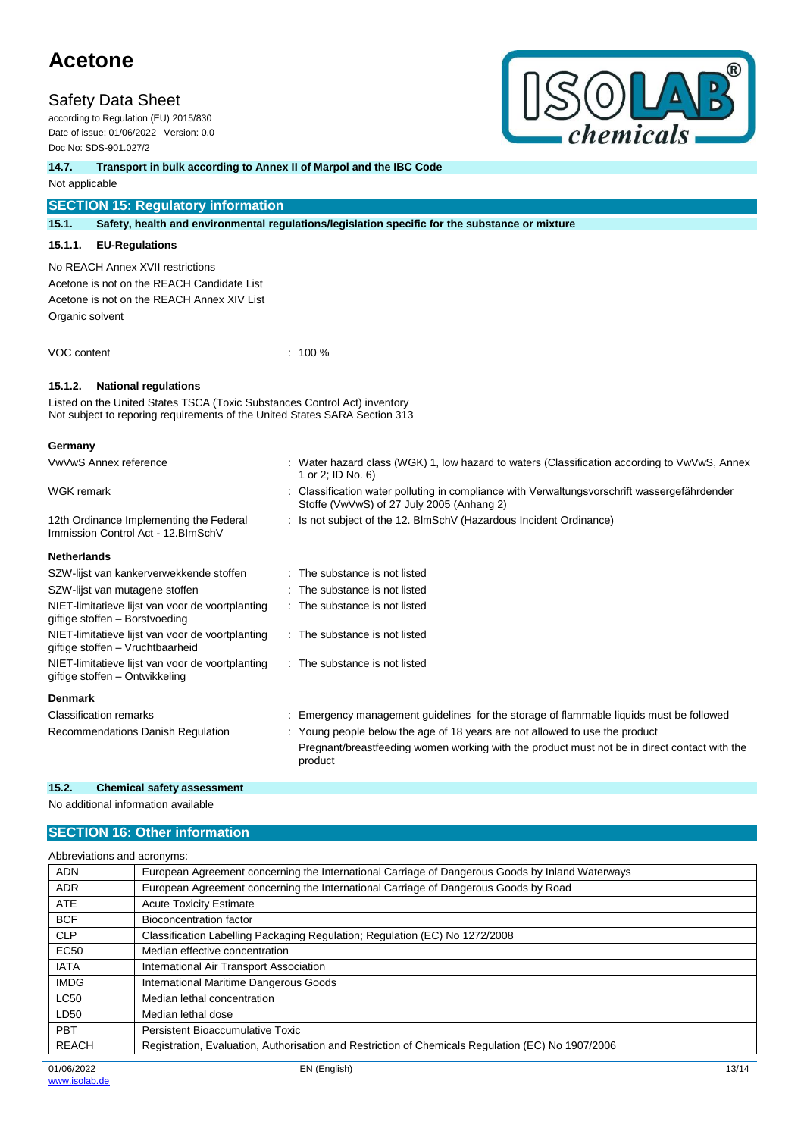## **Safety Data Sheet**

according to Regulation (EU) 2015/830 Date of issue: 01/06/2022 Version: 0.0 Doc No: SDS-901.027/2



**14.7. Transport in bulk according to Annex II of Marpol and the IBC Code**

Not applicable

## **SECTION 15: Regulatory information**

**15.1. Safety, health and environmental regulations/legislation specific for the substance or mixture**

#### **15.1.1. EU-Regulations**

No REACH Annex XVII restrictions

Acetone is not on the REACH Candidate List Acetone is not on the REACH Annex XIV List Organic solvent

VOC content : 100 %

### **15.1.2. National regulations**

Listed on the United States TSCA (Toxic Substances Control Act) inventory Not subject to reporing requirements of the United States SARA Section 313

#### **Germany**

| VwVwS Annex reference                                                                | Water hazard class (WGK) 1, low hazard to waters (Classification according to VwVwS, Annex<br>1 or 2; ID No. 6)                                                                        |
|--------------------------------------------------------------------------------------|----------------------------------------------------------------------------------------------------------------------------------------------------------------------------------------|
| WGK remark                                                                           | Classification water polluting in compliance with Verwaltungsvorschrift wassergefährdender<br>Stoffe (VwVwS) of 27 July 2005 (Anhang 2)                                                |
| 12th Ordinance Implementing the Federal<br>Immission Control Act - 12. BlmSchV       | : Is not subject of the 12. BlmSchV (Hazardous Incident Ordinance)                                                                                                                     |
| <b>Netherlands</b>                                                                   |                                                                                                                                                                                        |
| SZW-lijst van kankerverwekkende stoffen                                              | : The substance is not listed                                                                                                                                                          |
| SZW-lijst van mutagene stoffen                                                       | : The substance is not listed                                                                                                                                                          |
| NIET-limitatieve lijst van voor de voortplanting<br>giftige stoffen - Borstvoeding   | : The substance is not listed                                                                                                                                                          |
| NIET-limitatieve lijst van voor de voortplanting<br>giftige stoffen - Vruchtbaarheid | : The substance is not listed                                                                                                                                                          |
| NIET-limitatieve lijst van voor de voortplanting<br>giftige stoffen – Ontwikkeling   | : The substance is not listed                                                                                                                                                          |
| <b>Denmark</b>                                                                       |                                                                                                                                                                                        |
| <b>Classification remarks</b>                                                        | Emergency management guidelines for the storage of flammable liquids must be followed                                                                                                  |
| Recommendations Danish Regulation                                                    | : Young people below the age of 18 years are not allowed to use the product<br>Pregnant/breastfeeding women working with the product must not be in direct contact with the<br>product |

#### **15.2. Chemical safety assessment**

No additional information available

## **SECTION 16: Other information**

| European Agreement concerning the International Carriage of Dangerous Goods by Inland Waterways<br><b>ADN</b><br>European Agreement concerning the International Carriage of Dangerous Goods by Road<br><b>ADR</b><br><b>ATE</b><br><b>Acute Toxicity Estimate</b><br><b>BCF</b><br>Bioconcentration factor<br><b>CLP</b><br>Classification Labelling Packaging Regulation; Regulation (EC) No 1272/2008<br><b>EC50</b><br>Median effective concentration<br><b>IATA</b><br>International Air Transport Association<br>International Maritime Dangerous Goods<br><b>IMDG</b><br><b>LC50</b><br>Median lethal concentration<br>LD50<br>Median lethal dose<br><b>PBT</b><br>Persistent Bioaccumulative Toxic<br><b>REACH</b><br>Registration, Evaluation, Authorisation and Restriction of Chemicals Regulation (EC) No 1907/2006 | Abbreviations and acronyms: |  |  |
|---------------------------------------------------------------------------------------------------------------------------------------------------------------------------------------------------------------------------------------------------------------------------------------------------------------------------------------------------------------------------------------------------------------------------------------------------------------------------------------------------------------------------------------------------------------------------------------------------------------------------------------------------------------------------------------------------------------------------------------------------------------------------------------------------------------------------------|-----------------------------|--|--|
|                                                                                                                                                                                                                                                                                                                                                                                                                                                                                                                                                                                                                                                                                                                                                                                                                                 |                             |  |  |
|                                                                                                                                                                                                                                                                                                                                                                                                                                                                                                                                                                                                                                                                                                                                                                                                                                 |                             |  |  |
|                                                                                                                                                                                                                                                                                                                                                                                                                                                                                                                                                                                                                                                                                                                                                                                                                                 |                             |  |  |
|                                                                                                                                                                                                                                                                                                                                                                                                                                                                                                                                                                                                                                                                                                                                                                                                                                 |                             |  |  |
|                                                                                                                                                                                                                                                                                                                                                                                                                                                                                                                                                                                                                                                                                                                                                                                                                                 |                             |  |  |
|                                                                                                                                                                                                                                                                                                                                                                                                                                                                                                                                                                                                                                                                                                                                                                                                                                 |                             |  |  |
|                                                                                                                                                                                                                                                                                                                                                                                                                                                                                                                                                                                                                                                                                                                                                                                                                                 |                             |  |  |
|                                                                                                                                                                                                                                                                                                                                                                                                                                                                                                                                                                                                                                                                                                                                                                                                                                 |                             |  |  |
|                                                                                                                                                                                                                                                                                                                                                                                                                                                                                                                                                                                                                                                                                                                                                                                                                                 |                             |  |  |
|                                                                                                                                                                                                                                                                                                                                                                                                                                                                                                                                                                                                                                                                                                                                                                                                                                 |                             |  |  |
|                                                                                                                                                                                                                                                                                                                                                                                                                                                                                                                                                                                                                                                                                                                                                                                                                                 |                             |  |  |
|                                                                                                                                                                                                                                                                                                                                                                                                                                                                                                                                                                                                                                                                                                                                                                                                                                 |                             |  |  |